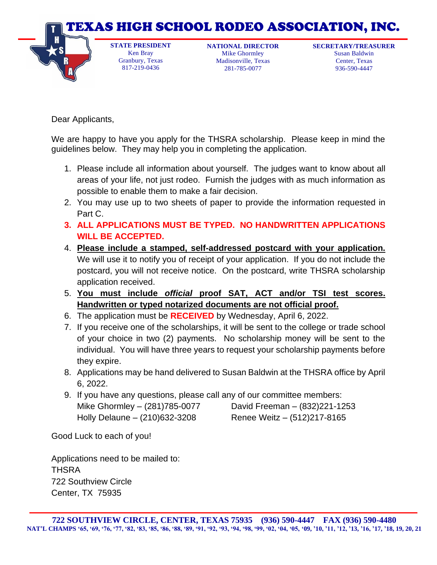

281-785-0077

936-590-4447

Dear Applicants,

817-219-0436

We are happy to have you apply for the THSRA scholarship. Please keep in mind the guidelines below. They may help you in completing the application.

- 1. Please include all information about yourself. The judges want to know about all areas of your life, not just rodeo. Furnish the judges with as much information as possible to enable them to make a fair decision.
- 2. You may use up to two sheets of paper to provide the information requested in Part C.
- **3. ALL APPLICATIONS MUST BE TYPED. NO HANDWRITTEN APPLICATIONS WILL BE ACCEPTED.**
- 4. **Please include a stamped, self-addressed postcard with your application.** We will use it to notify you of receipt of your application. If you do not include the postcard, you will not receive notice. On the postcard, write THSRA scholarship application received.
- 5. **You must include** *official* **proof SAT, ACT and/or TSI test scores. Handwritten or typed notarized documents are not official proof.**
- 6. The application must be **RECEIVED** by Wednesday, April 6, 2022.
- 7. If you receive one of the scholarships, it will be sent to the college or trade school of your choice in two (2) payments. No scholarship money will be sent to the individual. You will have three years to request your scholarship payments before they expire.
- 8. Applications may be hand delivered to Susan Baldwin at the THSRA office by April 6, 2022.
- 9. If you have any questions, please call any of our committee members: Mike Ghormley – (281)785-0077 David Freeman – (832)221-1253 Holly Delaune – (210)632-3208 Renee Weitz – (512)217-8165

Good Luck to each of you!

Applications need to be mailed to: **THSRA** 722 Southview Circle Center, TX 75935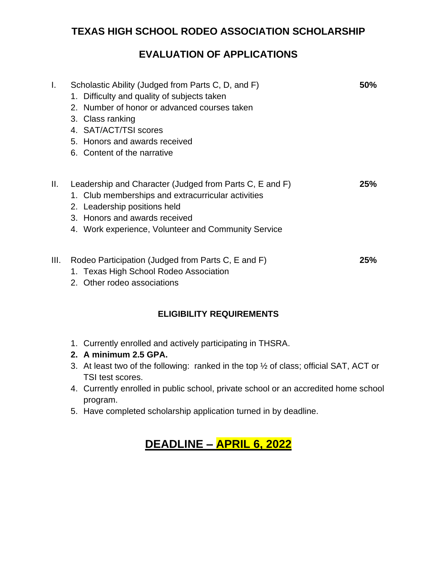### **TEXAS HIGH SCHOOL RODEO ASSOCIATION SCHOLARSHIP**

## **EVALUATION OF APPLICATIONS**

| Τ.   | Scholastic Ability (Judged from Parts C, D, and F)<br>1. Difficulty and quality of subjects taken<br>2. Number of honor or advanced courses taken<br>3. Class ranking<br>4. SAT/ACT/TSI scores<br>5. Honors and awards received<br>6. Content of the narrative | 50% |
|------|----------------------------------------------------------------------------------------------------------------------------------------------------------------------------------------------------------------------------------------------------------------|-----|
| Ш.   | Leadership and Character (Judged from Parts C, E and F)<br>1. Club memberships and extracurricular activities<br>2. Leadership positions held<br>3. Honors and awards received<br>4. Work experience, Volunteer and Community Service                          | 25% |
| III. | Rodeo Participation (Judged from Parts C, E and F)<br>1. Texas High School Rodeo Association<br>2. Other rodeo associations                                                                                                                                    | 25% |

#### **ELIGIBILITY REQUIREMENTS**

- 1. Currently enrolled and actively participating in THSRA.
- **2. A minimum 2.5 GPA.**
- 3. At least two of the following: ranked in the top ½ of class; official SAT, ACT or TSI test scores.
- 4. Currently enrolled in public school, private school or an accredited home school program.
- 5. Have completed scholarship application turned in by deadline.

## **DEADLINE – APRIL 6, 2022**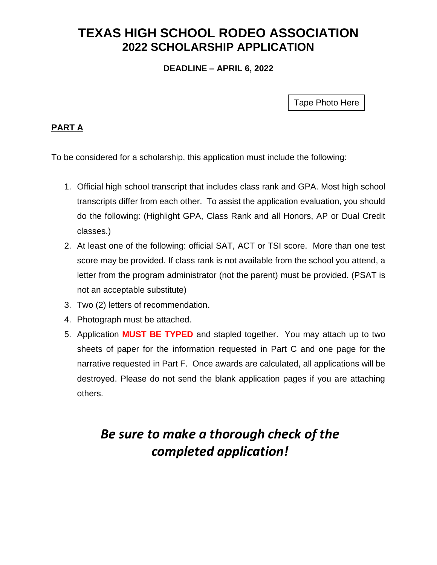# **TEXAS HIGH SCHOOL RODEO ASSOCIATION 2022 SCHOLARSHIP APPLICATION**

**DEADLINE – APRIL 6, 2022**

Tape Photo Here

#### **PART A**

To be considered for a scholarship, this application must include the following:

- 1. Official high school transcript that includes class rank and GPA. Most high school transcripts differ from each other. To assist the application evaluation, you should do the following: (Highlight GPA, Class Rank and all Honors, AP or Dual Credit classes.)
- 2. At least one of the following: official SAT, ACT or TSI score. More than one test score may be provided. If class rank is not available from the school you attend, a letter from the program administrator (not the parent) must be provided. (PSAT is not an acceptable substitute)
- 3. Two (2) letters of recommendation.
- 4. Photograph must be attached.
- 5. Application **MUST BE TYPED** and stapled together. You may attach up to two sheets of paper for the information requested in Part C and one page for the narrative requested in Part F. Once awards are calculated, all applications will be destroyed. Please do not send the blank application pages if you are attaching others.

# *Be sure to make a thorough check of the completed application!*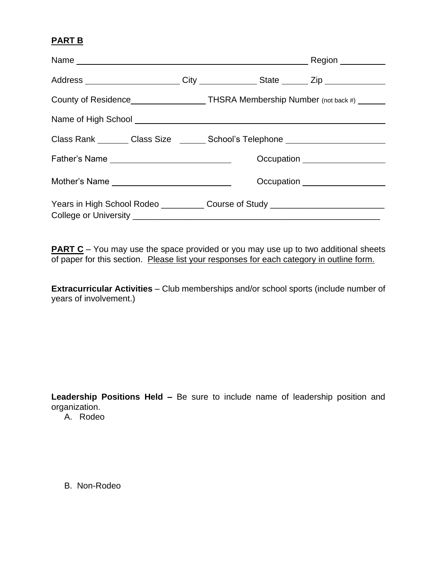#### **PART B**

|                                               |  | County of Residence____________________THSRA Membership Number (not back #) _____ |  |  |
|-----------------------------------------------|--|-----------------------------------------------------------------------------------|--|--|
|                                               |  |                                                                                   |  |  |
|                                               |  | Class Rank ________ Class Size _______ School's Telephone ______________________  |  |  |
| Father's Name _______________________________ |  | Occupation ___________________                                                    |  |  |
| Mother's Name _____________________________   |  | Occupation ___________________                                                    |  |  |
|                                               |  | Years in High School Rodeo _____________ Course of Study _______________________  |  |  |

**PART C** *–* You may use the space provided or you may use up to two additional sheets of paper for this section. Please list your responses for each category in outline form.

**Extracurricular Activities** – Club memberships and/or school sports (include number of years of involvement.)

**Leadership Positions Held –** Be sure to include name of leadership position and organization.

A. Rodeo

B. Non-Rodeo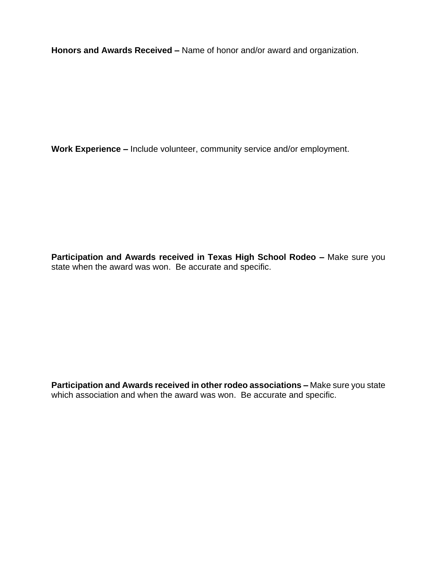**Honors and Awards Received –** Name of honor and/or award and organization.

**Work Experience –** Include volunteer, community service and/or employment.

**Participation and Awards received in Texas High School Rodeo –** Make sure you state when the award was won. Be accurate and specific.

**Participation and Awards received in other rodeo associations –** Make sure you state which association and when the award was won. Be accurate and specific.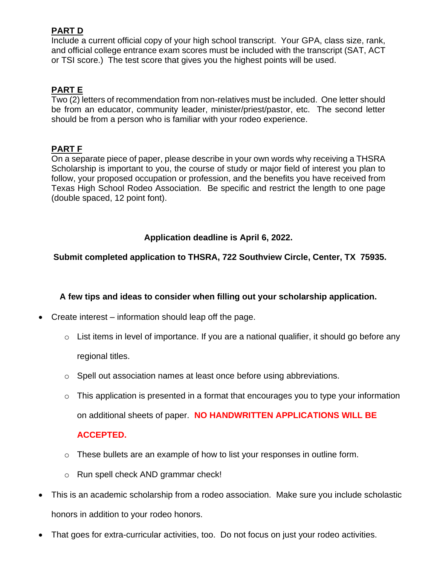#### **PART D**

Include a current official copy of your high school transcript. Your GPA, class size, rank, and official college entrance exam scores must be included with the transcript (SAT, ACT or TSI score.) The test score that gives you the highest points will be used.

#### **PART E**

Two (2) letters of recommendation from non-relatives must be included. One letter should be from an educator, community leader, minister/priest/pastor, etc. The second letter should be from a person who is familiar with your rodeo experience.

#### **PART F**

On a separate piece of paper, please describe in your own words why receiving a THSRA Scholarship is important to you, the course of study or major field of interest you plan to follow, your proposed occupation or profession, and the benefits you have received from Texas High School Rodeo Association. Be specific and restrict the length to one page (double spaced, 12 point font).

#### **Application deadline is April 6, 2022.**

#### **Submit completed application to THSRA, 722 Southview Circle, Center, TX 75935.**

#### **A few tips and ideas to consider when filling out your scholarship application.**

- Create interest information should leap off the page.
	- $\circ$  List items in level of importance. If you are a national qualifier, it should go before any regional titles.
	- $\circ$  Spell out association names at least once before using abbreviations.
	- $\circ$  This application is presented in a format that encourages you to type your information on additional sheets of paper. **NO HANDWRITTEN APPLICATIONS WILL BE**

#### **ACCEPTED.**

- o These bullets are an example of how to list your responses in outline form.
- o Run spell check AND grammar check!
- This is an academic scholarship from a rodeo association. Make sure you include scholastic honors in addition to your rodeo honors.
- That goes for extra-curricular activities, too. Do not focus on just your rodeo activities.